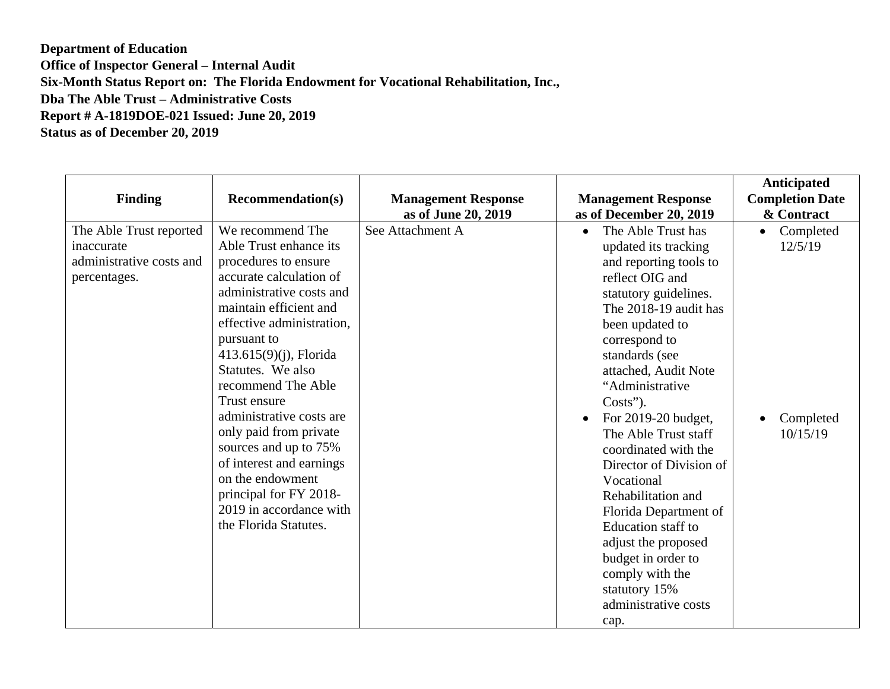**Department of Education Office of Inspector General – Internal Audit Six-Month Status Report on: The Florida Endowment for Vocational Rehabilitation, Inc., Dba The Able Trust – Administrative Costs Report # A-1819DOE-021 Issued: June 20, 2019 Status as of December 20, 2019** 

| <b>Finding</b>                                                                    | <b>Recommendation(s)</b>                                                                                                                                                                                                                                                                                                                                                                                                                                                                             | <b>Management Response</b><br>as of June 20, 2019 | <b>Management Response</b><br>as of December 20, 2019                                                                                                                                                                                                                                                                                                                                                                                                                                                                                                                | <b>Anticipated</b><br><b>Completion Date</b><br>& Contract |
|-----------------------------------------------------------------------------------|------------------------------------------------------------------------------------------------------------------------------------------------------------------------------------------------------------------------------------------------------------------------------------------------------------------------------------------------------------------------------------------------------------------------------------------------------------------------------------------------------|---------------------------------------------------|----------------------------------------------------------------------------------------------------------------------------------------------------------------------------------------------------------------------------------------------------------------------------------------------------------------------------------------------------------------------------------------------------------------------------------------------------------------------------------------------------------------------------------------------------------------------|------------------------------------------------------------|
| The Able Trust reported<br>inaccurate<br>administrative costs and<br>percentages. | We recommend The<br>Able Trust enhance its<br>procedures to ensure<br>accurate calculation of<br>administrative costs and<br>maintain efficient and<br>effective administration,<br>pursuant to<br>$413.615(9)(j)$ , Florida<br>Statutes. We also<br>recommend The Able<br>Trust ensure<br>administrative costs are<br>only paid from private<br>sources and up to 75%<br>of interest and earnings<br>on the endowment<br>principal for FY 2018-<br>2019 in accordance with<br>the Florida Statutes. | See Attachment A                                  | The Able Trust has<br>$\bullet$<br>updated its tracking<br>and reporting tools to<br>reflect OIG and<br>statutory guidelines.<br>The 2018-19 audit has<br>been updated to<br>correspond to<br>standards (see<br>attached, Audit Note<br>"Administrative<br>$Costs$ ").<br>For 2019-20 budget,<br>The Able Trust staff<br>coordinated with the<br>Director of Division of<br>Vocational<br>Rehabilitation and<br>Florida Department of<br>Education staff to<br>adjust the proposed<br>budget in order to<br>comply with the<br>statutory 15%<br>administrative costs | Completed<br>12/5/19<br>Completed<br>10/15/19              |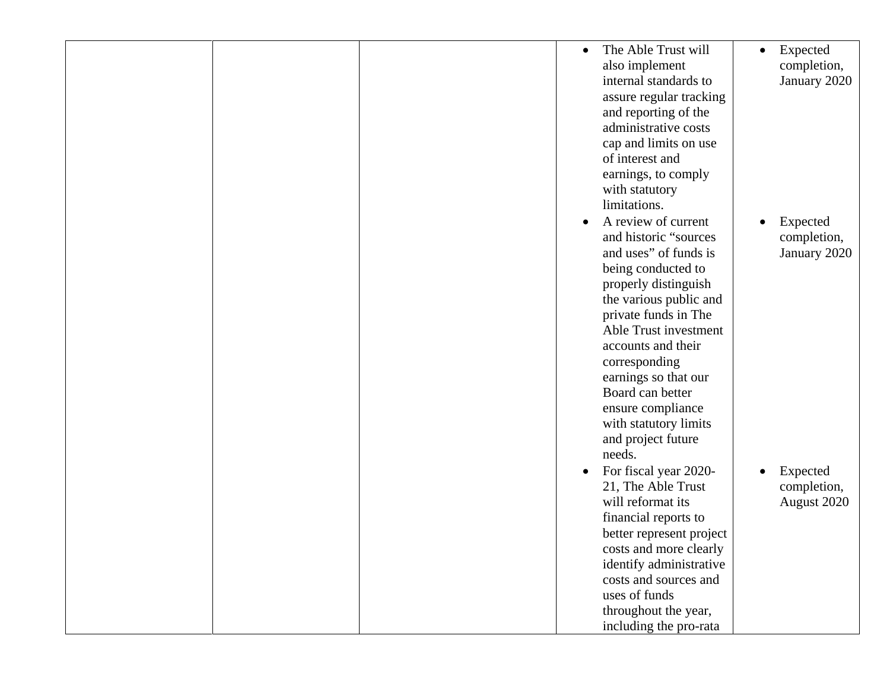|  | The Able Trust will<br>$\bullet$   | Expected<br>$\bullet$ |
|--|------------------------------------|-----------------------|
|  | also implement                     | completion,           |
|  | internal standards to              | January 2020          |
|  | assure regular tracking            |                       |
|  | and reporting of the               |                       |
|  | administrative costs               |                       |
|  |                                    |                       |
|  | cap and limits on use              |                       |
|  | of interest and                    |                       |
|  | earnings, to comply                |                       |
|  | with statutory                     |                       |
|  | limitations.                       |                       |
|  | A review of current<br>$\bullet$   | Expected              |
|  | and historic "sources              | completion,           |
|  | and uses" of funds is              | January 2020          |
|  | being conducted to                 |                       |
|  |                                    |                       |
|  | properly distinguish               |                       |
|  | the various public and             |                       |
|  | private funds in The               |                       |
|  | Able Trust investment              |                       |
|  | accounts and their                 |                       |
|  | corresponding                      |                       |
|  | earnings so that our               |                       |
|  | Board can better                   |                       |
|  | ensure compliance                  |                       |
|  | with statutory limits              |                       |
|  |                                    |                       |
|  | and project future                 |                       |
|  | needs.                             |                       |
|  | For fiscal year 2020-<br>$\bullet$ | Expected              |
|  | 21, The Able Trust                 | completion,           |
|  | will reformat its                  | August 2020           |
|  | financial reports to               |                       |
|  | better represent project           |                       |
|  | costs and more clearly             |                       |
|  | identify administrative            |                       |
|  | costs and sources and              |                       |
|  | uses of funds                      |                       |
|  |                                    |                       |
|  | throughout the year,               |                       |
|  | including the pro-rata             |                       |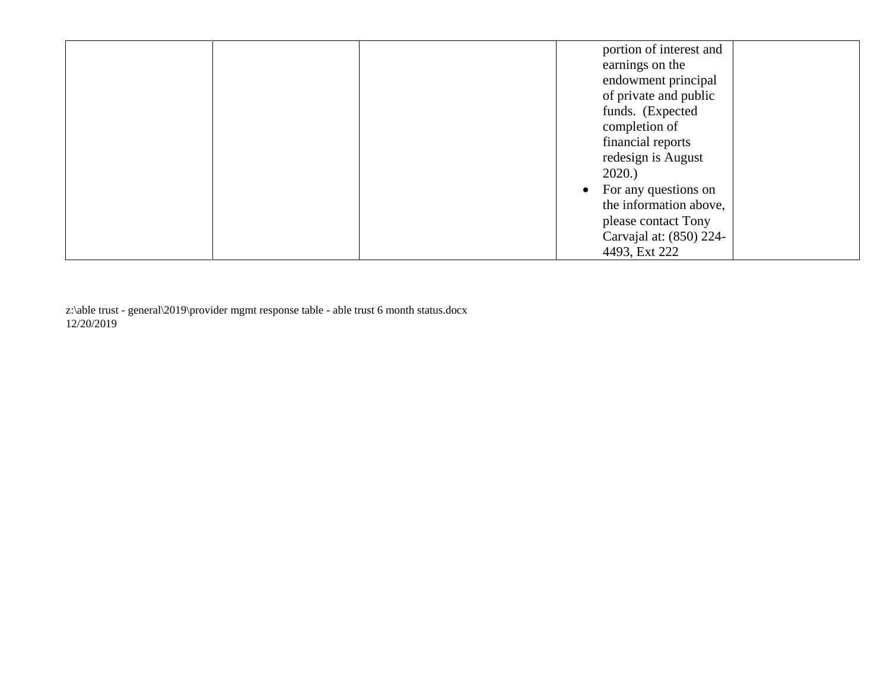| portion of interest and           |
|-----------------------------------|
| earnings on the                   |
| endowment principal               |
| of private and public             |
| funds. (Expected                  |
| completion of                     |
| financial reports                 |
| redesign is August                |
| 2020.                             |
| For any questions on<br>$\bullet$ |
| the information above,            |
| please contact Tony               |
| Carvajal at: (850) 224-           |
| 4493, Ext 222                     |

 z:\able trust - general\2019\provider mgmt response table - able trust 6 month status.docx 12/20/2019